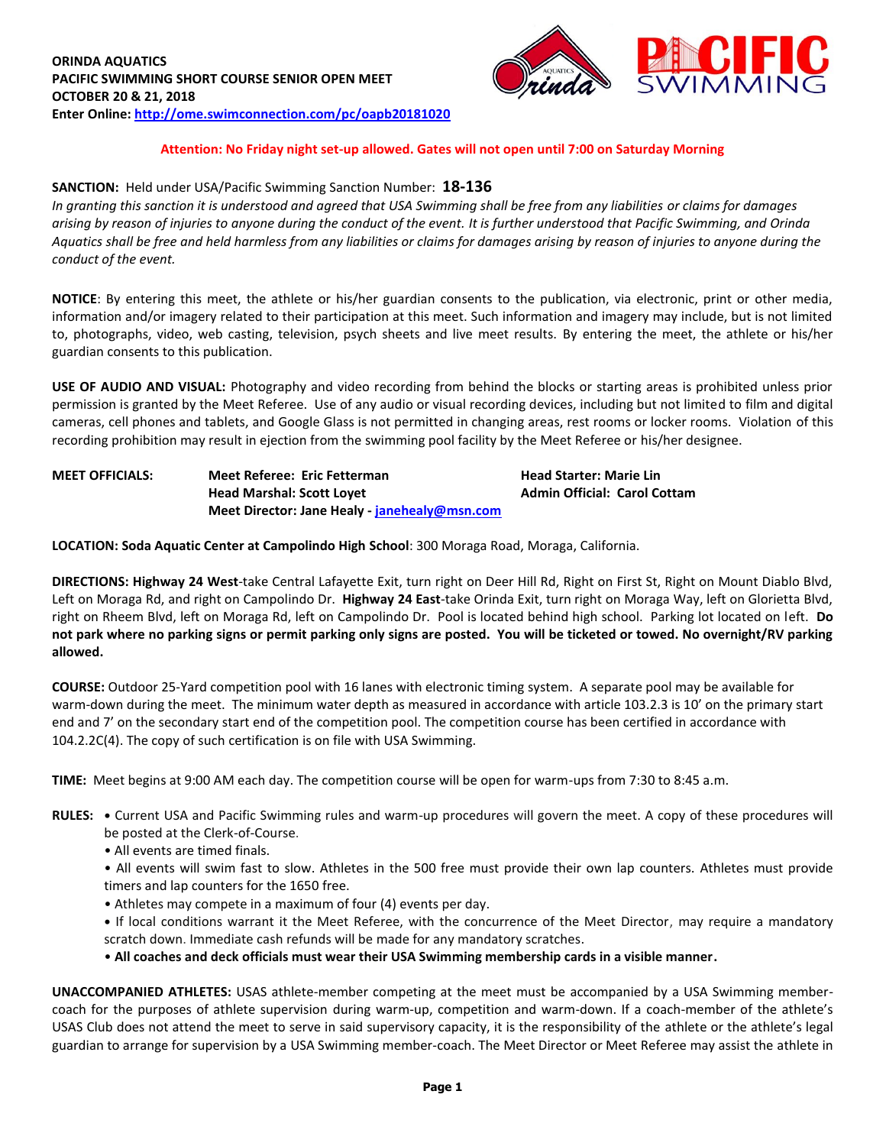

# **Attention: No Friday night set-up allowed. Gates will not open until 7:00 on Saturday Morning**

### **SANCTION:** Held under USA/Pacific Swimming Sanction Number: **18-136**

*In granting this sanction it is understood and agreed that USA Swimming shall be free from any liabilities or claims for damages arising by reason of injuries to anyone during the conduct of the event. It is further understood that Pacific Swimming, and Orinda Aquatics shall be free and held harmless from any liabilities or claims for damages arising by reason of injuries to anyone during the conduct of the event.*

**NOTICE**: By entering this meet, the athlete or his/her guardian consents to the publication, via electronic, print or other media, information and/or imagery related to their participation at this meet. Such information and imagery may include, but is not limited to, photographs, video, web casting, television, psych sheets and live meet results. By entering the meet, the athlete or his/her guardian consents to this publication.

**USE OF AUDIO AND VISUAL:** Photography and video recording from behind the blocks or starting areas is prohibited unless prior permission is granted by the Meet Referee. Use of any audio or visual recording devices, including but not limited to film and digital cameras, cell phones and tablets, and Google Glass is not permitted in changing areas, rest rooms or locker rooms. Violation of this recording prohibition may result in ejection from the swimming pool facility by the Meet Referee or his/her designee.

**MEET OFFICIALS: Meet Referee: Eric Fetterman Head Starter: Marie Lin Head Marshal: Scott Loyet Admin Official: Carol Cottam Meet Director: Jane Healy - [janehealy@msn.com](mailto:janehealy@msn.com)**

**LOCATION: Soda Aquatic Center at Campolindo High School**: 300 Moraga Road, Moraga, California.

**DIRECTIONS: Highway 24 West**-take Central Lafayette Exit, turn right on Deer Hill Rd, Right on First St, Right on Mount Diablo Blvd, Left on Moraga Rd, and right on Campolindo Dr. **Highway 24 East**-take Orinda Exit, turn right on Moraga Way, left on Glorietta Blvd, right on Rheem Blvd, left on Moraga Rd, left on Campolindo Dr. Pool is located behind high school. Parking lot located on left. **Do not park where no parking signs or permit parking only signs are posted. You will be ticketed or towed. No overnight/RV parking allowed.**

**COURSE:** Outdoor 25-Yard competition pool with 16 lanes with electronic timing system. A separate pool may be available for warm-down during the meet. The minimum water depth as measured in accordance with article 103.2.3 is 10' on the primary start end and 7' on the secondary start end of the competition pool. The competition course has been certified in accordance with 104.2.2C(4). The copy of such certification is on file with USA Swimming.

**TIME:** Meet begins at 9:00 AM each day. The competition course will be open for warm-ups from 7:30 to 8:45 a.m.

- **RULES: •** Current USA and Pacific Swimming rules and warm-up procedures will govern the meet. A copy of these procedures will be posted at the Clerk-of-Course.
	- All events are timed finals.

• All events will swim fast to slow. Athletes in the 500 free must provide their own lap counters. Athletes must provide timers and lap counters for the 1650 free.

- Athletes may compete in a maximum of four (4) events per day.
- **•** If local conditions warrant it the Meet Referee, with the concurrence of the Meet Director, may require a mandatory scratch down. Immediate cash refunds will be made for any mandatory scratches.

• **All coaches and deck officials must wear their USA Swimming membership cards in a visible manner.**

**UNACCOMPANIED ATHLETES:** USAS athlete-member competing at the meet must be accompanied by a USA Swimming membercoach for the purposes of athlete supervision during warm-up, competition and warm-down. If a coach-member of the athlete's USAS Club does not attend the meet to serve in said supervisory capacity, it is the responsibility of the athlete or the athlete's legal guardian to arrange for supervision by a USA Swimming member-coach. The Meet Director or Meet Referee may assist the athlete in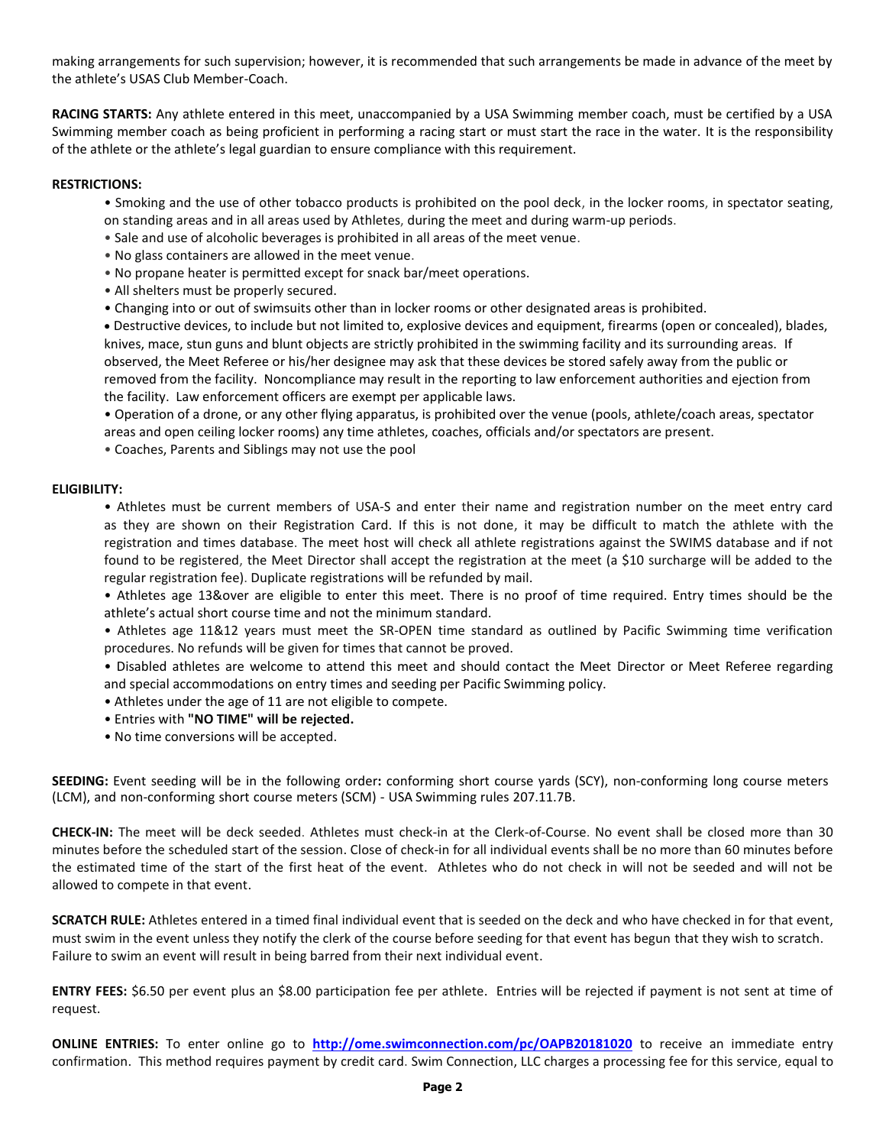making arrangements for such supervision; however, it is recommended that such arrangements be made in advance of the meet by the athlete's USAS Club Member-Coach.

**RACING STARTS:** Any athlete entered in this meet, unaccompanied by a USA Swimming member coach, must be certified by a USA Swimming member coach as being proficient in performing a racing start or must start the race in the water. It is the responsibility of the athlete or the athlete's legal guardian to ensure compliance with this requirement.

# **RESTRICTIONS:**

- Smoking and the use of other tobacco products is prohibited on the pool deck, in the locker rooms, in spectator seating, on standing areas and in all areas used by Athletes, during the meet and during warm-up periods.
- Sale and use of alcoholic beverages is prohibited in all areas of the meet venue.
- No glass containers are allowed in the meet venue.
- No propane heater is permitted except for snack bar/meet operations.
- All shelters must be properly secured.
- Changing into or out of swimsuits other than in locker rooms or other designated areas is prohibited.

 Destructive devices, to include but not limited to, explosive devices and equipment, firearms (open or concealed), blades, knives, mace, stun guns and blunt objects are strictly prohibited in the swimming facility and its surrounding areas. If observed, the Meet Referee or his/her designee may ask that these devices be stored safely away from the public or removed from the facility. Noncompliance may result in the reporting to law enforcement authorities and ejection from the facility. Law enforcement officers are exempt per applicable laws.

• Operation of a drone, or any other flying apparatus, is prohibited over the venue (pools, athlete/coach areas, spectator areas and open ceiling locker rooms) any time athletes, coaches, officials and/or spectators are present.

• Coaches, Parents and Siblings may not use the pool

# **ELIGIBILITY:**

• Athletes must be current members of USA-S and enter their name and registration number on the meet entry card as they are shown on their Registration Card. If this is not done, it may be difficult to match the athlete with the registration and times database. The meet host will check all athlete registrations against the SWIMS database and if not found to be registered, the Meet Director shall accept the registration at the meet (a \$10 surcharge will be added to the regular registration fee). Duplicate registrations will be refunded by mail.

• Athletes age 13&over are eligible to enter this meet. There is no proof of time required. Entry times should be the athlete's actual short course time and not the minimum standard.

• Athletes age 11&12 years must meet the SR-OPEN time standard as outlined by Pacific Swimming time verification procedures. No refunds will be given for times that cannot be proved.

• Disabled athletes are welcome to attend this meet and should contact the Meet Director or Meet Referee regarding and special accommodations on entry times and seeding per Pacific Swimming policy.

- Athletes under the age of 11 are not eligible to compete.
- Entries with **"NO TIME" will be rejected.**
- No time conversions will be accepted.

**SEEDING:** Event seeding will be in the following order**:** conforming short course yards (SCY), non-conforming long course meters (LCM), and non-conforming short course meters (SCM) - USA Swimming rules 207.11.7B.

**CHECK-IN:** The meet will be deck seeded. Athletes must check-in at the Clerk-of-Course. No event shall be closed more than 30 minutes before the scheduled start of the session. Close of check-in for all individual events shall be no more than 60 minutes before the estimated time of the start of the first heat of the event. Athletes who do not check in will not be seeded and will not be allowed to compete in that event.

**SCRATCH RULE:** Athletes entered in a timed final individual event that is seeded on the deck and who have checked in for that event, must swim in the event unless they notify the clerk of the course before seeding for that event has begun that they wish to scratch. Failure to swim an event will result in being barred from their next individual event.

**ENTRY FEES:** \$6.50 per event plus an \$8.00 participation fee per athlete. Entries will be rejected if payment is not sent at time of request.

**ONLINE ENTRIES:** To enter online go to **<http://ome.swimconnection.com/pc/OAPB20181020>** to receive an immediate entry confirmation. This method requires payment by credit card. Swim Connection, LLC charges a processing fee for this service, equal to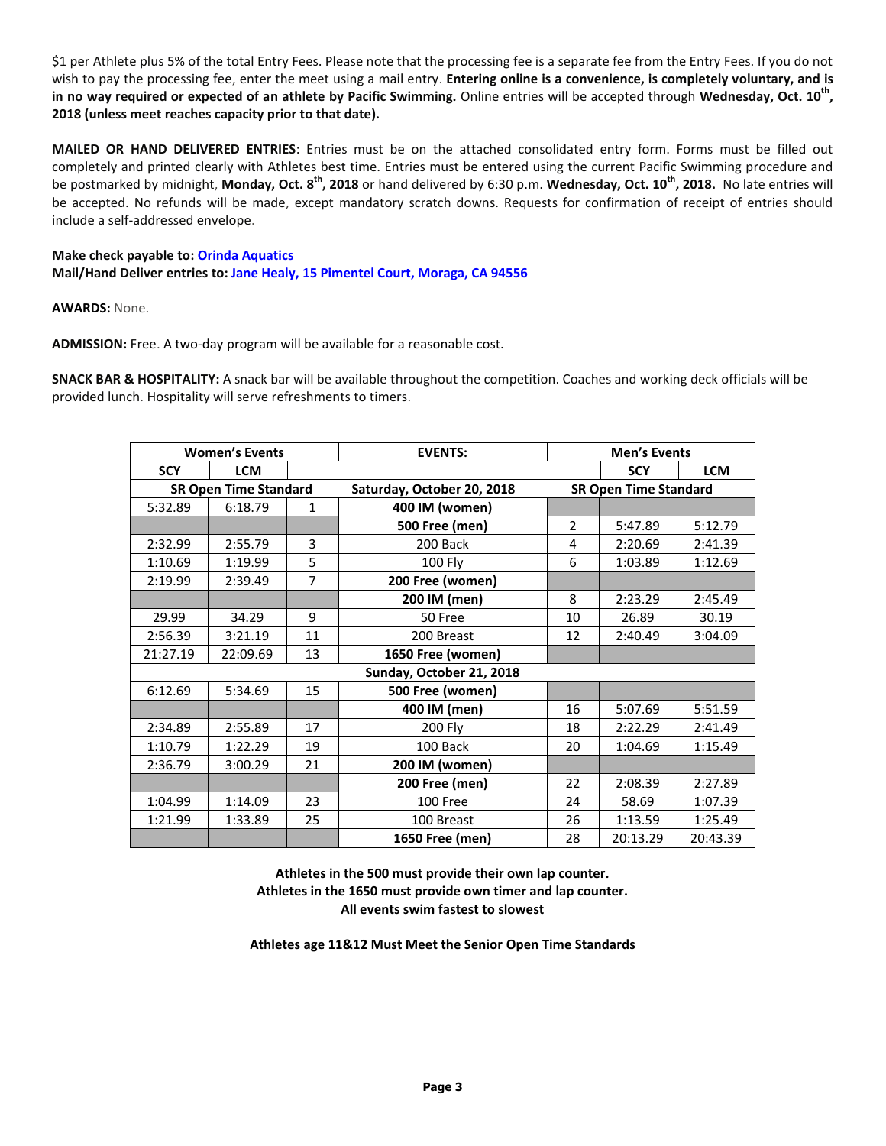\$1 per Athlete plus 5% of the total Entry Fees. Please note that the processing fee is a separate fee from the Entry Fees. If you do not wish to pay the processing fee, enter the meet using a mail entry. **Entering online is a convenience, is completely voluntary, and is in no way required or expected of an athlete by Pacific Swimming.** Online entries will be accepted through **Wednesday, Oct. 10 th , 2018 (unless meet reaches capacity prior to that date).**

**MAILED OR HAND DELIVERED ENTRIES**: Entries must be on the attached consolidated entry form. Forms must be filled out completely and printed clearly with Athletes best time. Entries must be entered using the current Pacific Swimming procedure and be postmarked by midnight, Monday, Oct. 8<sup>th</sup>, 2018 or hand delivered by 6:30 p.m. Wednesday, Oct. 10<sup>th</sup>, 2018. No late entries will be accepted. No refunds will be made, except mandatory scratch downs. Requests for confirmation of receipt of entries should include a self-addressed envelope.

**Make check payable to: Orinda Aquatics Mail/Hand Deliver entries to: Jane Healy, 15 Pimentel Court, Moraga, CA 94556**

#### **AWARDS:** None.

**ADMISSION:** Free. A two-day program will be available for a reasonable cost.

**SNACK BAR & HOSPITALITY:** A snack bar will be available throughout the competition. Coaches and working deck officials will be provided lunch. Hospitality will serve refreshments to timers.

|                              | <b>Women's Events</b>   |                | <b>EVENTS:</b>             |                | <b>Men's Events</b>          |            |  |  |  |
|------------------------------|-------------------------|----------------|----------------------------|----------------|------------------------------|------------|--|--|--|
| <b>SCY</b><br><b>LCM</b>     |                         |                |                            |                | <b>SCY</b>                   | <b>LCM</b> |  |  |  |
| <b>SR Open Time Standard</b> |                         |                | Saturday, October 20, 2018 |                | <b>SR Open Time Standard</b> |            |  |  |  |
| 5:32.89                      | 6:18.79<br>$\mathbf{1}$ |                | 400 IM (women)             |                |                              |            |  |  |  |
|                              |                         |                | <b>500 Free (men)</b>      | $\overline{2}$ | 5:47.89                      | 5:12.79    |  |  |  |
| 2:32.99                      | 2:55.79                 | 3              | 200 Back                   | 4              | 2:20.69                      | 2:41.39    |  |  |  |
| 1:10.69                      | 1:19.99                 | 5              | <b>100 Fly</b>             | 6              | 1:03.89                      | 1:12.69    |  |  |  |
| 2:19.99                      | 2:39.49                 | $\overline{7}$ | 200 Free (women)           |                |                              |            |  |  |  |
|                              |                         |                | 200 IM (men)               | 8              | 2:23.29                      | 2:45.49    |  |  |  |
| 29.99                        | 34.29                   | 9              | 50 Free                    | 10             | 26.89                        | 30.19      |  |  |  |
| 2:56.39                      | 3:21.19                 | 11             | 200 Breast                 | 12             | 2:40.49                      | 3:04.09    |  |  |  |
| 21:27.19                     | 22:09.69                | 13             | 1650 Free (women)          |                |                              |            |  |  |  |
|                              |                         |                | Sunday, October 21, 2018   |                |                              |            |  |  |  |
| 6:12.69                      | 5:34.69                 | 15             | 500 Free (women)           |                |                              |            |  |  |  |
|                              |                         |                | 400 IM (men)               | 16             | 5:07.69                      | 5:51.59    |  |  |  |
| 2:34.89                      | 2:55.89                 | 17             | 200 Fly                    | 18             | 2:22.29                      | 2:41.49    |  |  |  |
| 1:10.79                      | 1:22.29                 | 19             | 100 Back                   | 20             | 1:04.69                      | 1:15.49    |  |  |  |
| 2:36.79                      | 3:00.29                 | 21             | 200 IM (women)             |                |                              |            |  |  |  |
|                              |                         |                | <b>200 Free (men)</b>      | 22             | 2:08.39                      | 2:27.89    |  |  |  |
| 1:04.99                      | 1:14.09                 | 23             | 100 Free                   | 24             | 58.69                        | 1:07.39    |  |  |  |
| 1:21.99                      | 1:33.89                 | 25             | 100 Breast                 | 26             | 1:13.59                      | 1:25.49    |  |  |  |
|                              |                         |                | 1650 Free (men)            | 28             | 20:13.29                     | 20:43.39   |  |  |  |

**Athletes in the 500 must provide their own lap counter. Athletes in the 1650 must provide own timer and lap counter. All events swim fastest to slowest**

**Athletes age 11&12 Must Meet the Senior Open Time Standards**